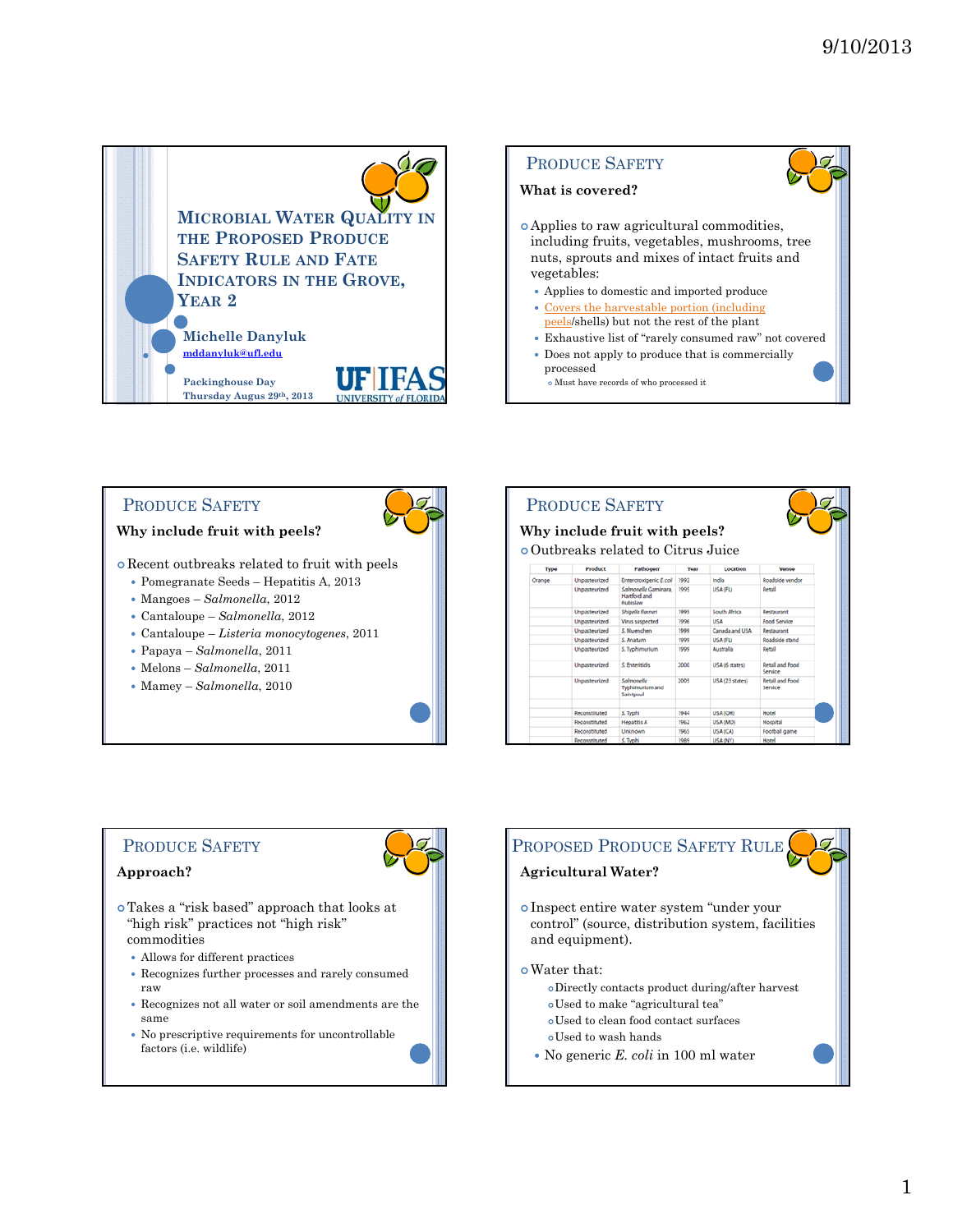

### PRODUCE SAFETY

#### **Why include fruit with peels?**

Recent outbreaks related to fruit with peels

- Pomegranate Seeds Hepatitis A, 2013
- Mangoes *Salmonella*, 2012
- Cantaloupe *Salmonella*, 2012
- Cantaloupe *Listeria monocytogenes*, 2011
- Papaya *Salmonella*, 2011
- Melons *Salmonella*, 2011
- Mamey *Salmonella*, 2010

|                                            |                      | Why include fruit with peels?                    |      |                     |                                   |  |  |
|--------------------------------------------|----------------------|--------------------------------------------------|------|---------------------|-----------------------------------|--|--|
|                                            |                      |                                                  |      |                     |                                   |  |  |
| <b>o</b> Outbreaks related to Citrus Juice |                      |                                                  |      |                     |                                   |  |  |
| Type                                       | Product              | Pathogen*                                        | Year | Location            | Venue                             |  |  |
| Orange                                     | Unpasteurized        | Enterotoxigenic E.coli                           | 1992 | India               | Roadside vendor                   |  |  |
|                                            | Unpasteurized        | Salmonella Gaminara.<br>Hartford and<br>Rubislaw | 1995 | USA (FL)            | Retail                            |  |  |
|                                            | Unpasteurized        | Shigella flexneri                                | 1995 | <b>South Africa</b> | Restaurant                        |  |  |
|                                            | <b>Unpasteurized</b> | Virus suspected                                  | 1996 | USA                 | <b>Food Service</b>               |  |  |
|                                            | Unpasteurized        | S. Muenchen                                      | 1999 | Canada and USA      | Restaurant                        |  |  |
|                                            | Unpasteurized        | S. Anatum                                        | 1999 | USA (FL)            | Roadside stand                    |  |  |
|                                            | Unpasteurized        | S. Typhimurium                                   | 1999 | Australia           | Retail                            |  |  |
|                                            | Unpasteurized        | C Enteritidis                                    | 2000 | USA (6 states)      | <b>Retail and Food</b><br>Service |  |  |
|                                            | Unpasteurized        | Salmonella<br>Typhimurium and<br>Saintpaul       | 2005 | USA (23 states)     | <b>Retail and Food</b><br>Service |  |  |
|                                            |                      |                                                  |      |                     |                                   |  |  |
|                                            | Reconstituted        | S. Typhi                                         | 1944 | USA (OH)            | Hotel                             |  |  |
|                                            | Reconstituted        | <b>Hepatitis A</b>                               | 1962 | USA (MO)            | Hospital                          |  |  |
|                                            | Reconstituted        | Unknown                                          | 1965 | USA (CA)            | Football game                     |  |  |
|                                            | Reconstituted        | S. Typhi                                         | 1989 | USA (NY)            | Hotel                             |  |  |

### PRODUCE SAFETY

#### **Approach?**

- Takes a "risk based" approach that looks at "high risk" practices not "high risk" commodities
	- Allows for different practices
	- Recognizes further processes and rarely consumed raw
	- Recognizes not all water or soil amendments are the same
	- No prescriptive requirements for uncontrollable factors (i.e. wildlife)

### PROPOSED PRODUCE SAFETY RULE

### **Agricultural Water?**

 Inspect entire water system "under your control" (source, distribution system, facilities and equipment).

#### Water that:

- Directly contacts product during/after harvest
- Used to make "agricultural tea"
- Used to clean food contact surfaces
- Used to wash hands
- No generic *E. coli* in 100 ml water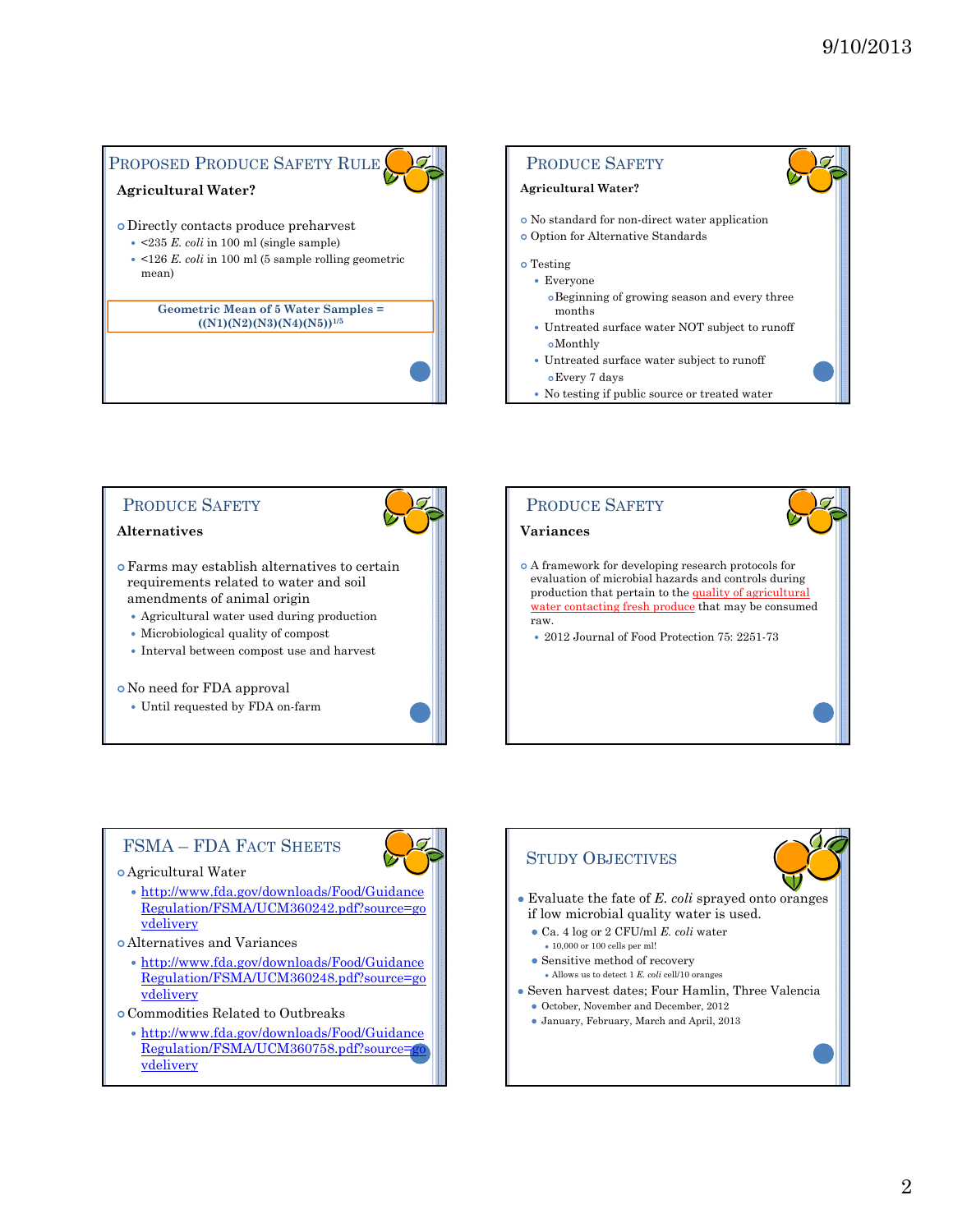# PROPOSED PRODUCE SAFETY RULE

## **Agricultural Water?**

- Directly contacts produce preharvest
- <235 *E. coli* in 100 ml (single sample)
- <126 *E. coli* in 100 ml (5 sample rolling geometric mean)

#### **Geometric Mean of 5 Water Samples = ((N1)(N2)(N3)(N4)(N5))1/5**



No testing if public source or treated water



#### Agricultural Water

- http://www.fda.gov/downloads/Food/Guidance Regulation/FSMA/UCM360242.pdf?source=go vdelivery
- Alternatives and Variances
	- http://www.fda.gov/downloads/Food/Guidance Regulation/FSMA/UCM360248.pdf?source=go vdelivery
- Commodities Related to Outbreaks
	- http://www.fda.gov/downloads/Food/Guidance Regulation/FSMA/UCM360758.pdf?source= vdelivery

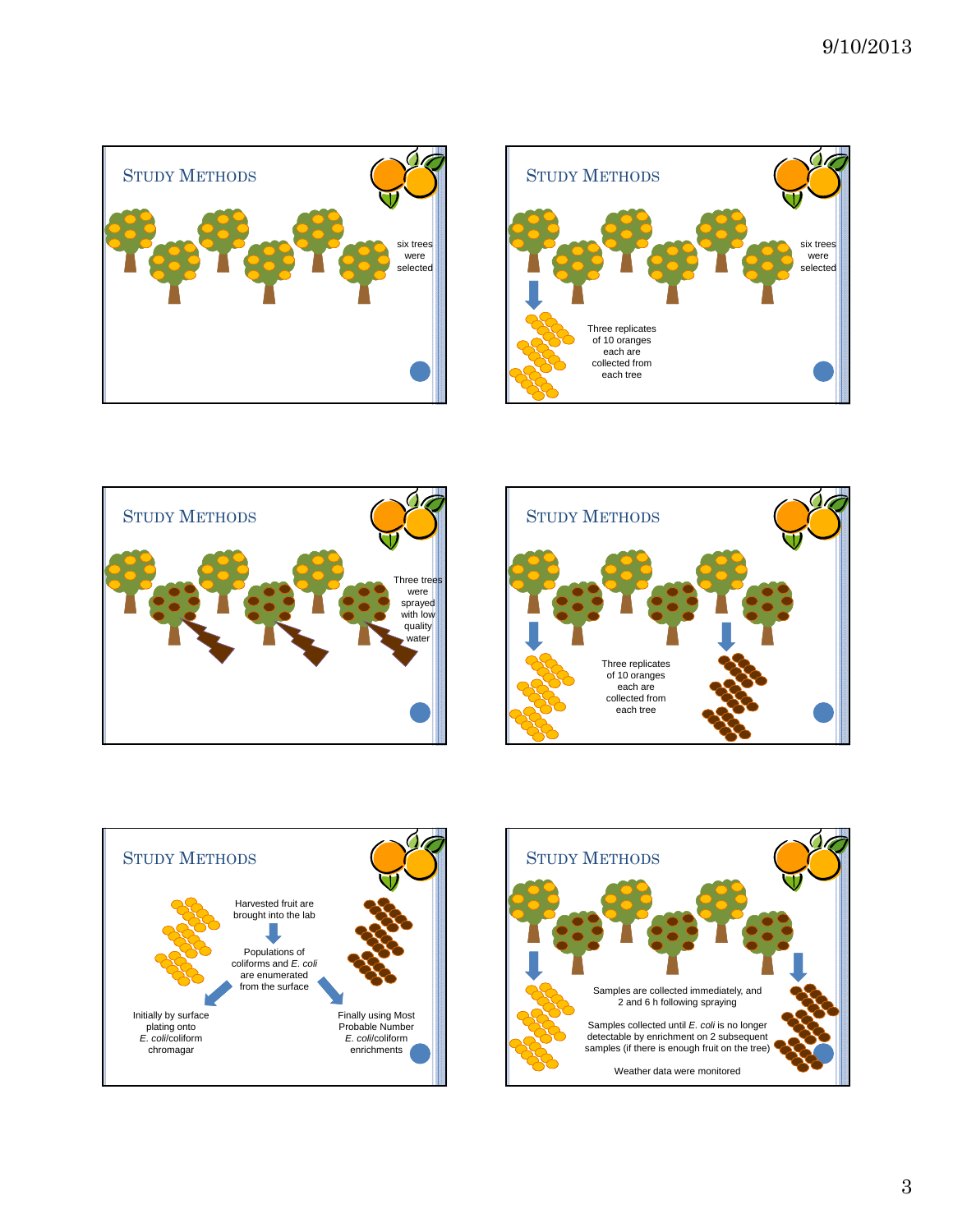









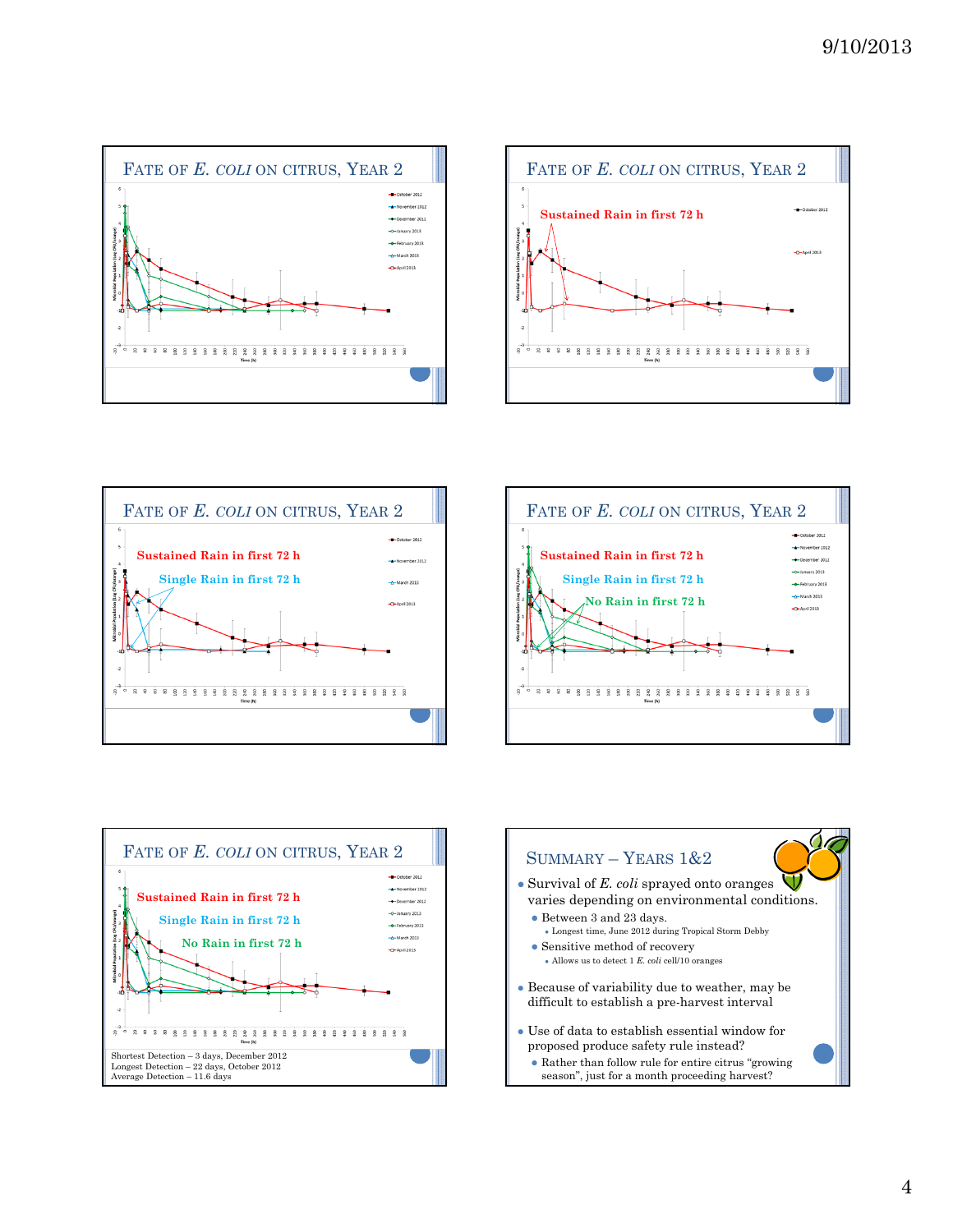